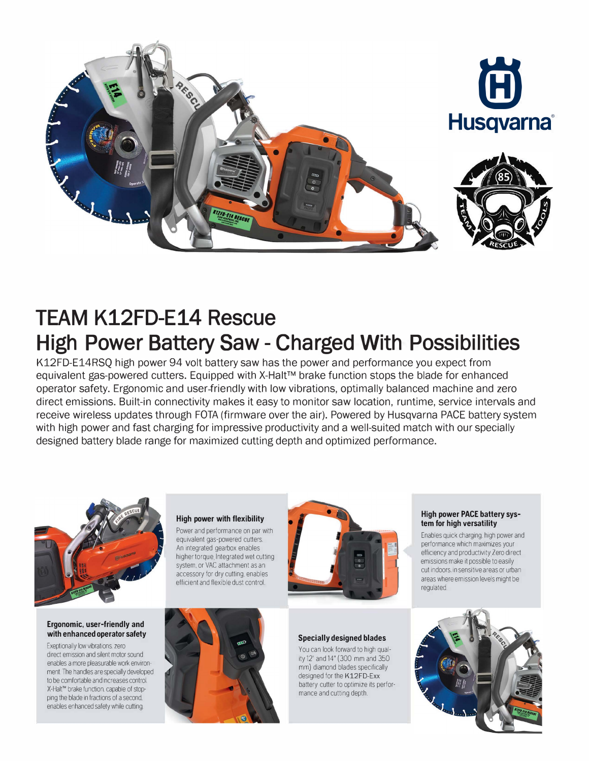

# **TEAM K12FD-E14 Rescue High Power Battery Saw - Charged With Possibilities**

**K12FD-E14RSQ high power 94 volt battery saw has the power and performance you expect from equivalent gas-powered cutters. Equipped with X-Halt™ brake function stops the blade for enhanced operator safety. Ergonomic and user friendly with low vibrations, optimally balanced machine and zero direct emissions. Built-in connectivity makes it easy to monitor saw location, runtime, service intervals and receive wireless updates through FOTA (firmware over the air). Powered by Husqvarna PACE battery system with high power and fast charging for impressive productivity and a well-suited match with our specially designed battery blade range for maximized cutting depth and optimized performance.** 



#### **Ergonomic, user-friendly and with enhanced operator safety**

Exeptionally low vibrations. zero direct emission and silent motor sound enables a more pleasurable work environment. The handles are specially developed to be comfortable and increases control. X-Halt'" brake function. capable of stopping the blade in fractions of a second. enables enhanced safety while cutting.

### **High power with flexibility**

Power and performance on par with equivalent gas-powered cutters. An integrated gearbox enables higher torque, Integrated wet cutting system. or VAC attachment as an accessory for dry cutting. enables efficient and flexible dust control.





#### **High power PACE battery system for high versatility**

Enables quick charging. high power and performance which maximizes your efficiency and productivity. Zero direct emissions make it possible to easily cut indoors. in sensitive areas or urban areas where emission levels might be regulated



#### **Specially designed blades**

You can look forward to high quality 12" and 14" (300 mm and 350 mm) diamond blades specifically designed for the **K12FD-Exx** battery cutter to optimize its performance and cutting depth.